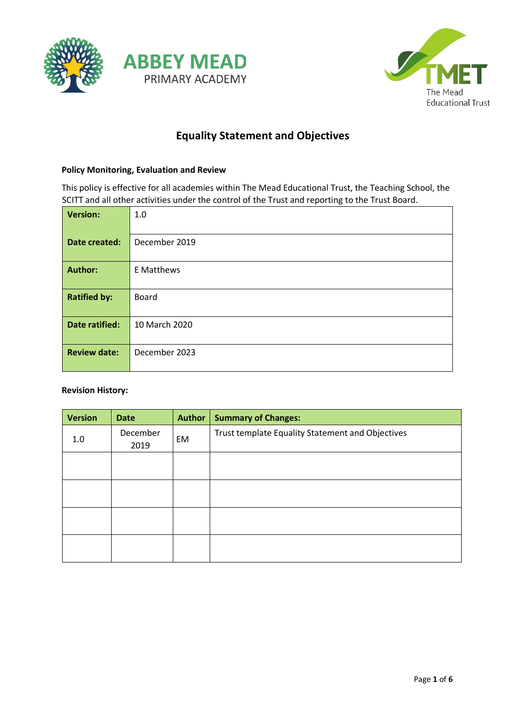



# **Equality Statement and Objectives**

### **Policy Monitoring, Evaluation and Review**

This policy is effective for all academies within The Mead Educational Trust, the Teaching School, the SCITT and all other activities under the control of the Trust and reporting to the Trust Board.

| <b>Version:</b>     | 1.0               |
|---------------------|-------------------|
| Date created:       | December 2019     |
| <b>Author:</b>      | <b>E</b> Matthews |
| <b>Ratified by:</b> | <b>Board</b>      |
| Date ratified:      | 10 March 2020     |
| <b>Review date:</b> | December 2023     |

#### **Revision History:**

| <b>Version</b> | <b>Date</b>      | Author | <b>Summary of Changes:</b>                       |
|----------------|------------------|--------|--------------------------------------------------|
| 1.0            | December<br>2019 | EM     | Trust template Equality Statement and Objectives |
|                |                  |        |                                                  |
|                |                  |        |                                                  |
|                |                  |        |                                                  |
|                |                  |        |                                                  |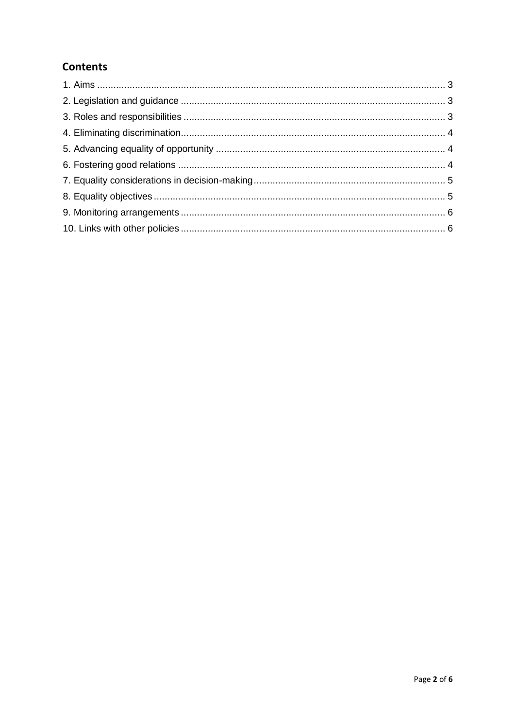# **Contents**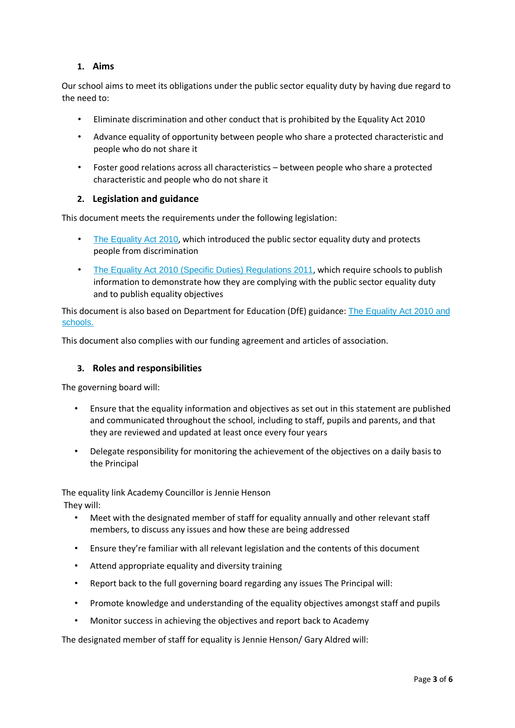# **1. Aims**

<span id="page-2-0"></span>Our school aims to meet its obligations under the public sector equality duty by having due regard to the need to:

- Eliminate discrimination and other conduct that is prohibited by the Equality Act 2010
- Advance equality of opportunity between people who share a protected characteristic and people who do not share it
- Foster good relations across all characteristics between people who share a protected characteristic and people who do not share it

### **2. Legislation and guidance**

<span id="page-2-1"></span>This document meets the requirements under the following legislation:

- [The Equality Act 2010](http://www.legislation.gov.uk/ukpga/2010/15/contents)[,](http://www.legislation.gov.uk/ukpga/2010/15/contents) which introduced the public sector equality duty and protects people from discrimination
- [The Equality Act 2010 \(Specific Duties\) Regulations 2011](http://www.legislation.gov.uk/uksi/2011/2260/contents/made)[,](http://www.legislation.gov.uk/uksi/2011/2260/contents/made) which require schools to publish information to demonstrate how they are complying with the public sector equality duty and to publish equality objectives

This document is also based on Department for Education (DfE) guidance[:](https://www.gov.uk/government/uploads/system/uploads/attachment_data/file/315587/Equality_Act_Advice_Final.pdf) [The Equality Act 2010 and](https://www.gov.uk/government/uploads/system/uploads/attachment_data/file/315587/Equality_Act_Advice_Final.pdf) [schools.](https://www.gov.uk/government/uploads/system/uploads/attachment_data/file/315587/Equality_Act_Advice_Final.pdf)

This document also complies with our funding agreement and articles of association.

#### **3. Roles and responsibilities**

<span id="page-2-2"></span>The governing board will:

- Ensure that the equality information and objectives as set out in this statement are published and communicated throughout the school, including to staff, pupils and parents, and that they are reviewed and updated at least once every four years
- Delegate responsibility for monitoring the achievement of the objectives on a daily basis to the Principal

The equality link Academy Councillor is Jennie Henson They will:

- Meet with the designated member of staff for equality annually and other relevant staff members, to discuss any issues and how these are being addressed
- Ensure they're familiar with all relevant legislation and the contents of this document
- Attend appropriate equality and diversity training
- Report back to the full governing board regarding any issues The Principal will:
- Promote knowledge and understanding of the equality objectives amongst staff and pupils
- Monitor success in achieving the objectives and report back to Academy

The designated member of staff for equality is Jennie Henson/ Gary Aldred will: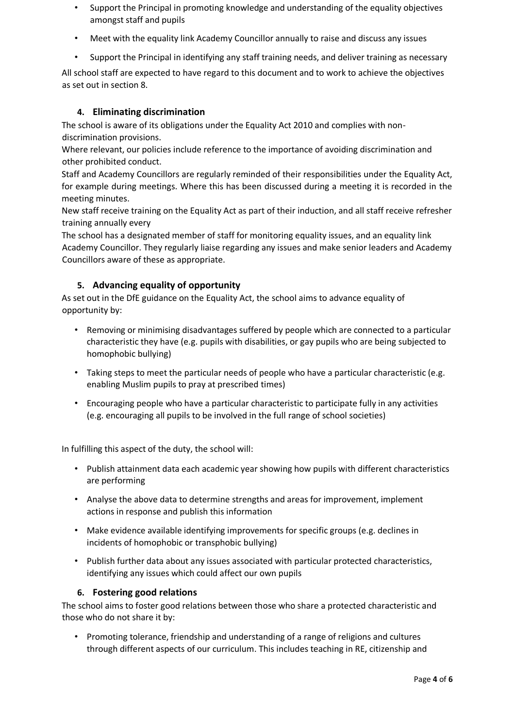- Support the Principal in promoting knowledge and understanding of the equality objectives amongst staff and pupils
- Meet with the equality link Academy Councillor annually to raise and discuss any issues
- Support the Principal in identifying any staff training needs, and deliver training as necessary

All school staff are expected to have regard to this document and to work to achieve the objectives as set out in section 8.

# **4. Eliminating discrimination**

<span id="page-3-0"></span>The school is aware of its obligations under the Equality Act 2010 and complies with nondiscrimination provisions.

Where relevant, our policies include reference to the importance of avoiding discrimination and other prohibited conduct.

Staff and Academy Councillors are regularly reminded of their responsibilities under the Equality Act, for example during meetings. Where this has been discussed during a meeting it is recorded in the meeting minutes.

New staff receive training on the Equality Act as part of their induction, and all staff receive refresher training annually every

The school has a designated member of staff for monitoring equality issues, and an equality link Academy Councillor. They regularly liaise regarding any issues and make senior leaders and Academy Councillors aware of these as appropriate.

# **5. Advancing equality of opportunity**

<span id="page-3-1"></span>As set out in the DfE guidance on the Equality Act, the school aims to advance equality of opportunity by:

- Removing or minimising disadvantages suffered by people which are connected to a particular characteristic they have (e.g. pupils with disabilities, or gay pupils who are being subjected to homophobic bullying)
- Taking steps to meet the particular needs of people who have a particular characteristic (e.g. enabling Muslim pupils to pray at prescribed times)
- Encouraging people who have a particular characteristic to participate fully in any activities (e.g. encouraging all pupils to be involved in the full range of school societies)

In fulfilling this aspect of the duty, the school will:

- Publish attainment data each academic year showing how pupils with different characteristics are performing
- Analyse the above data to determine strengths and areas for improvement, implement actions in response and publish this information
- Make evidence available identifying improvements for specific groups (e.g. declines in incidents of homophobic or transphobic bullying)
- Publish further data about any issues associated with particular protected characteristics, identifying any issues which could affect our own pupils

# **6. Fostering good relations**

<span id="page-3-2"></span>The school aims to foster good relations between those who share a protected characteristic and those who do not share it by:

• Promoting tolerance, friendship and understanding of a range of religions and cultures through different aspects of our curriculum. This includes teaching in RE, citizenship and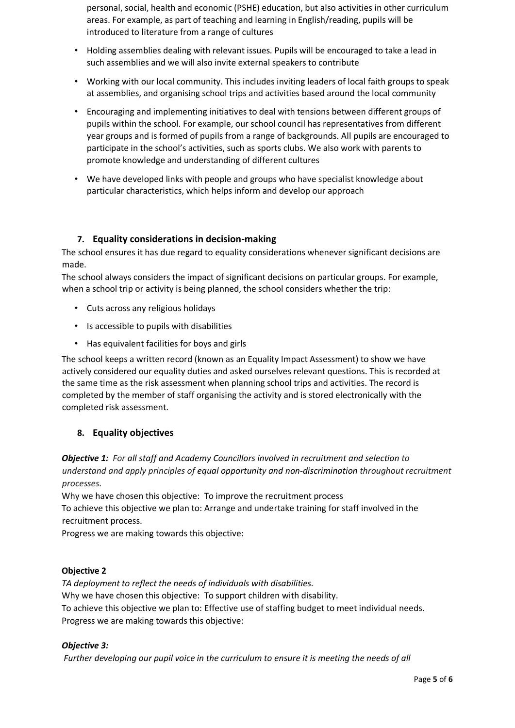personal, social, health and economic (PSHE) education, but also activities in other curriculum areas. For example, as part of teaching and learning in English/reading, pupils will be introduced to literature from a range of cultures

- Holding assemblies dealing with relevant issues. Pupils will be encouraged to take a lead in such assemblies and we will also invite external speakers to contribute
- Working with our local community. This includes inviting leaders of local faith groups to speak at assemblies, and organising school trips and activities based around the local community
- Encouraging and implementing initiatives to deal with tensions between different groups of pupils within the school. For example, our school council has representatives from different year groups and is formed of pupils from a range of backgrounds. All pupils are encouraged to participate in the school's activities, such as sports clubs. We also work with parents to promote knowledge and understanding of different cultures
- We have developed links with people and groups who have specialist knowledge about particular characteristics, which helps inform and develop our approach

# **7. Equality considerations in decision-making**

<span id="page-4-0"></span>The school ensures it has due regard to equality considerations whenever significant decisions are made.

The school always considers the impact of significant decisions on particular groups. For example, when a school trip or activity is being planned, the school considers whether the trip:

- Cuts across any religious holidays
- Is accessible to pupils with disabilities
- Has equivalent facilities for boys and girls

The school keeps a written record (known as an Equality Impact Assessment) to show we have actively considered our equality duties and asked ourselves relevant questions. This is recorded at the same time as the risk assessment when planning school trips and activities. The record is completed by the member of staff organising the activity and is stored electronically with the completed risk assessment.

# **8. Equality objectives**

<span id="page-4-1"></span>*Objective 1: For all staff and Academy Councillors involved in recruitment and selection to understand and apply principles of equal opportunity and non-discrimination throughout recruitment processes.*

Why we have chosen this objective: To improve the recruitment process To achieve this objective we plan to: Arrange and undertake training for staff involved in the recruitment process.

Progress we are making towards this objective:

# **Objective 2**

*TA deployment to reflect the needs of individuals with disabilities.*  Why we have chosen this objective: To support children with disability. To achieve this objective we plan to: Effective use of staffing budget to meet individual needs. Progress we are making towards this objective:

# *Objective 3:*

*Further developing our pupil voice in the curriculum to ensure it is meeting the needs of all*